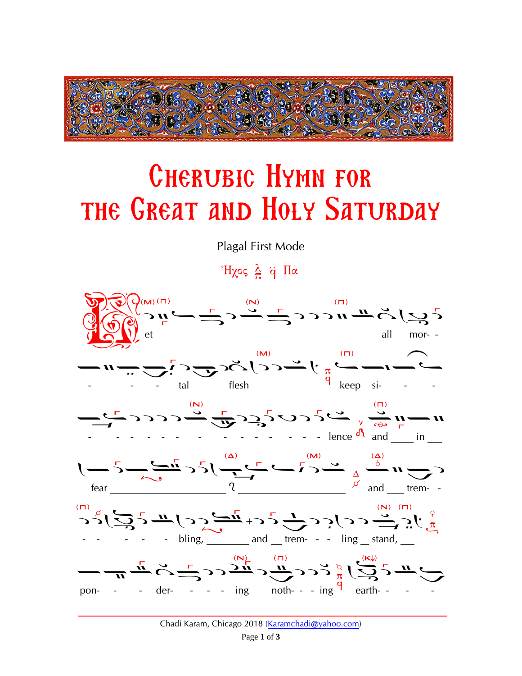

## **CHERUBIC HYMN FOR** THE GREAT AND HOLY SATURDAY

Plagal First Mode

<sup>\*</sup>Ηχος  $\frac{\lambda}{\pi}$  q Πα

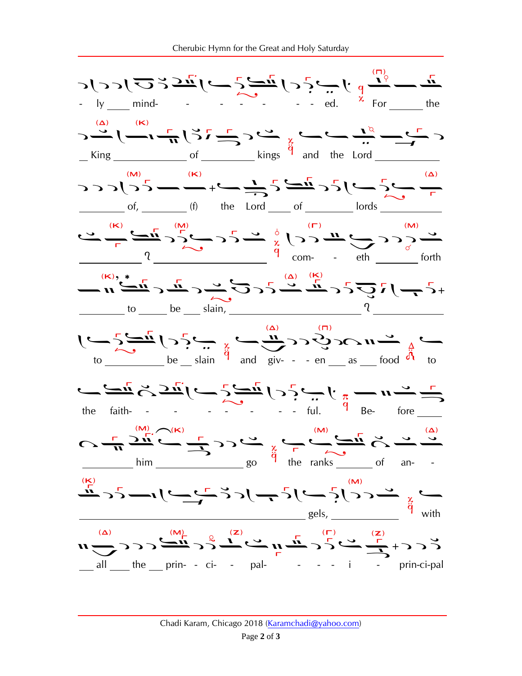